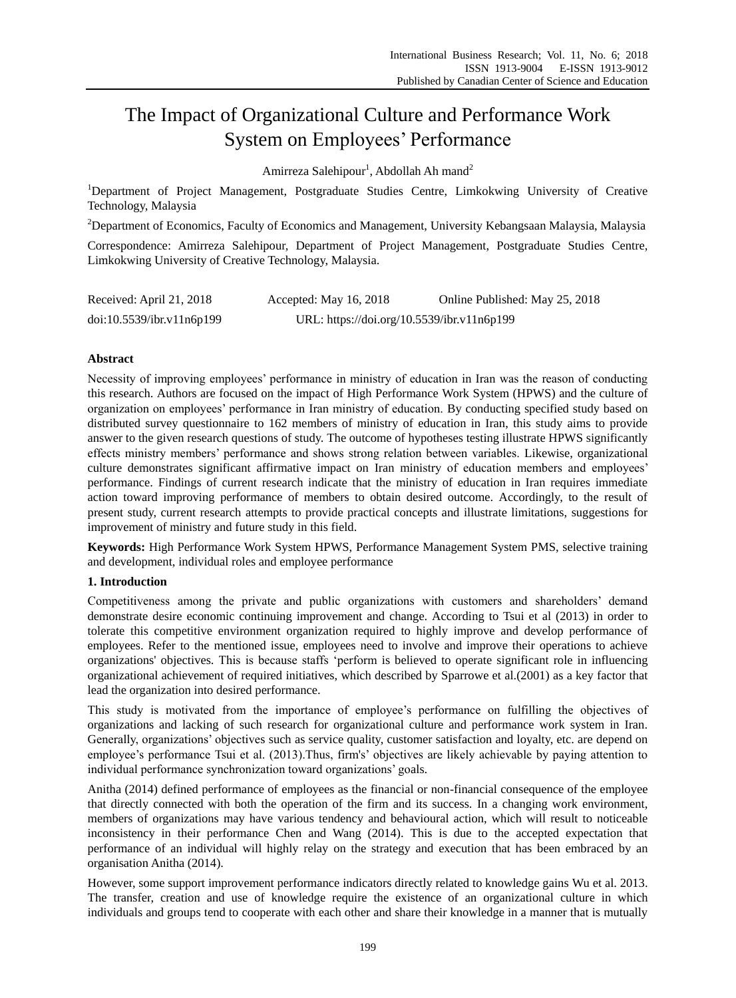# The Impact of Organizational Culture and Performance Work System on Employees' Performance

Amirreza Salehipour<sup>1</sup>, Abdollah Ah mand<sup>2</sup>

<sup>1</sup>Department of Project Management, Postgraduate Studies Centre, Limkokwing University of Creative Technology, Malaysia

<sup>2</sup>Department of Economics, Faculty of Economics and Management, University Kebangsaan Malaysia, Malaysia

Correspondence: Amirreza Salehipour, Department of Project Management, Postgraduate Studies Centre, Limkokwing University of Creative Technology, Malaysia.

| Received: April 21, 2018  | Accepted: May 16, 2018                     | Online Published: May 25, 2018 |
|---------------------------|--------------------------------------------|--------------------------------|
| doi:10.5539/ibr.v11n6p199 | URL: https://doi.org/10.5539/ibr.v11n6p199 |                                |

## **Abstract**

Necessity of improving employees' performance in ministry of education in Iran was the reason of conducting this research. Authors are focused on the impact of High Performance Work System (HPWS) and the culture of organization on employees' performance in Iran ministry of education. By conducting specified study based on distributed survey questionnaire to 162 members of ministry of education in Iran, this study aims to provide answer to the given research questions of study. The outcome of hypotheses testing illustrate HPWS significantly effects ministry members' performance and shows strong relation between variables. Likewise, organizational culture demonstrates significant affirmative impact on Iran ministry of education members and employees' performance. Findings of current research indicate that the ministry of education in Iran requires immediate action toward improving performance of members to obtain desired outcome. Accordingly, to the result of present study, current research attempts to provide practical concepts and illustrate limitations, suggestions for improvement of ministry and future study in this field.

**Keywords:** High Performance Work System HPWS, Performance Management System PMS, selective training and development, individual roles and employee performance

## **1. Introduction**

Competitiveness among the private and public organizations with customers and shareholders' demand demonstrate desire economic continuing improvement and change. According to Tsui et al (2013) in order to tolerate this competitive environment organization required to highly improve and develop performance of employees. Refer to the mentioned issue, employees need to involve and improve their operations to achieve organizations' objectives. This is because staffs 'perform is believed to operate significant role in influencing organizational achievement of required initiatives, which described by Sparrowe et al.(2001) as a key factor that lead the organization into desired performance.

This study is motivated from the importance of employee's performance on fulfilling the objectives of organizations and lacking of such research for organizational culture and performance work system in Iran. Generally, organizations' objectives such as service quality, customer satisfaction and loyalty, etc. are depend on employee's performance Tsui et al. (2013).Thus, firm's' objectives are likely achievable by paying attention to individual performance synchronization toward organizations' goals.

Anitha (2014) defined performance of employees as the financial or non-financial consequence of the employee that directly connected with both the operation of the firm and its success. In a changing work environment, members of organizations may have various tendency and behavioural action, which will result to noticeable inconsistency in their performance Chen and Wang (2014). This is due to the accepted expectation that performance of an individual will highly relay on the strategy and execution that has been embraced by an organisation Anitha (2014).

However, some support improvement performance indicators directly related to knowledge gains Wu et al. 2013. The transfer, creation and use of knowledge require the existence of an organizational culture in which individuals and groups tend to cooperate with each other and share their knowledge in a manner that is mutually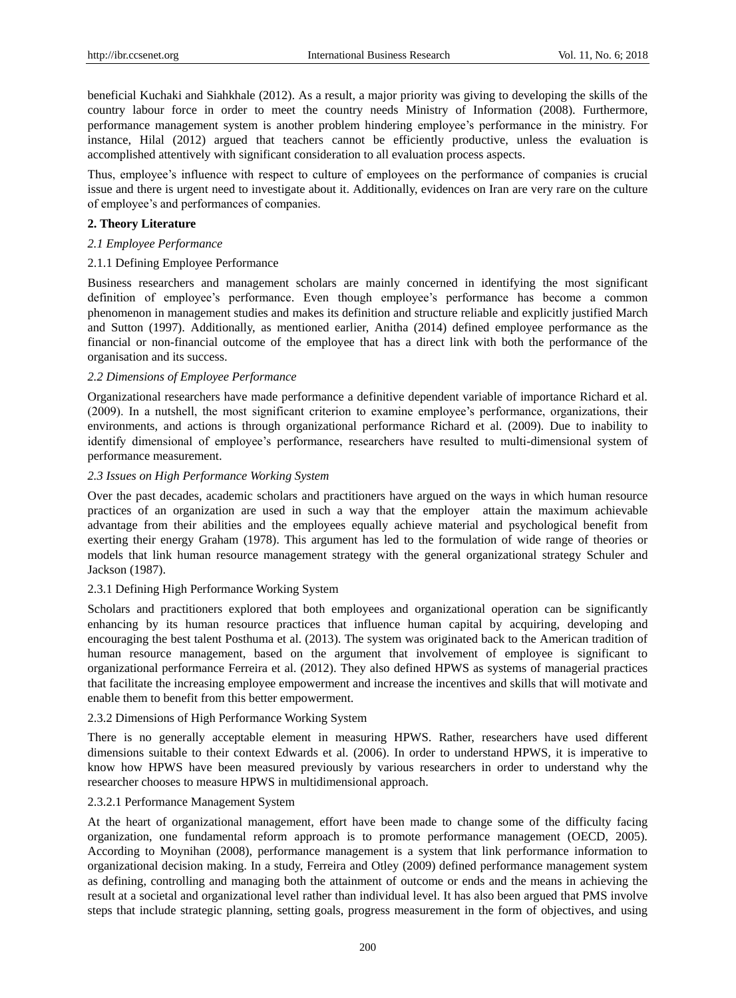beneficial Kuchaki and Siahkhale (2012). As a result, a major priority was giving to developing the skills of the country labour force in order to meet the country needs Ministry of Information (2008). Furthermore, performance management system is another problem hindering employee's performance in the ministry. For instance, Hilal (2012) argued that teachers cannot be efficiently productive, unless the evaluation is accomplished attentively with significant consideration to all evaluation process aspects.

Thus, employee's influence with respect to culture of employees on the performance of companies is crucial issue and there is urgent need to investigate about it. Additionally, evidences on Iran are very rare on the culture of employee's and performances of companies.

## **2. Theory Literature**

## *2.1 Employee Performance*

## 2.1.1 Defining Employee Performance

Business researchers and management scholars are mainly concerned in identifying the most significant definition of employee's performance. Even though employee's performance has become a common phenomenon in management studies and makes its definition and structure reliable and explicitly justified March and Sutton (1997). Additionally, as mentioned earlier, Anitha (2014) defined employee performance as the financial or non-financial outcome of the employee that has a direct link with both the performance of the organisation and its success.

#### *2.2 Dimensions of Employee Performance*

Organizational researchers have made performance a definitive dependent variable of importance Richard et al. (2009). In a nutshell, the most significant criterion to examine employee's performance, organizations, their environments, and actions is through organizational performance Richard et al. (2009). Due to inability to identify dimensional of employee's performance, researchers have resulted to multi-dimensional system of performance measurement.

#### *2.3 Issues on High Performance Working System*

Over the past decades, academic scholars and practitioners have argued on the ways in which human resource practices of an organization are used in such a way that the employer attain the maximum achievable advantage from their abilities and the employees equally achieve material and psychological benefit from exerting their energy Graham (1978). This argument has led to the formulation of wide range of theories or models that link human resource management strategy with the general organizational strategy Schuler and Jackson (1987).

## 2.3.1 Defining High Performance Working System

Scholars and practitioners explored that both employees and organizational operation can be significantly enhancing by its human resource practices that influence human capital by acquiring, developing and encouraging the best talent Posthuma et al. (2013). The system was originated back to the American tradition of human resource management, based on the argument that involvement of employee is significant to organizational performance Ferreira et al. (2012). They also defined HPWS as systems of managerial practices that facilitate the increasing employee empowerment and increase the incentives and skills that will motivate and enable them to benefit from this better empowerment.

## 2.3.2 Dimensions of High Performance Working System

There is no generally acceptable element in measuring HPWS. Rather, researchers have used different dimensions suitable to their context Edwards et al. (2006). In order to understand HPWS, it is imperative to know how HPWS have been measured previously by various researchers in order to understand why the researcher chooses to measure HPWS in multidimensional approach.

#### 2.3.2.1 Performance Management System

At the heart of organizational management, effort have been made to change some of the difficulty facing organization, one fundamental reform approach is to promote performance management (OECD, 2005). According to Moynihan (2008), performance management is a system that link performance information to organizational decision making. In a study, Ferreira and Otley (2009) defined performance management system as defining, controlling and managing both the attainment of outcome or ends and the means in achieving the result at a societal and organizational level rather than individual level. It has also been argued that PMS involve steps that include strategic planning, setting goals, progress measurement in the form of objectives, and using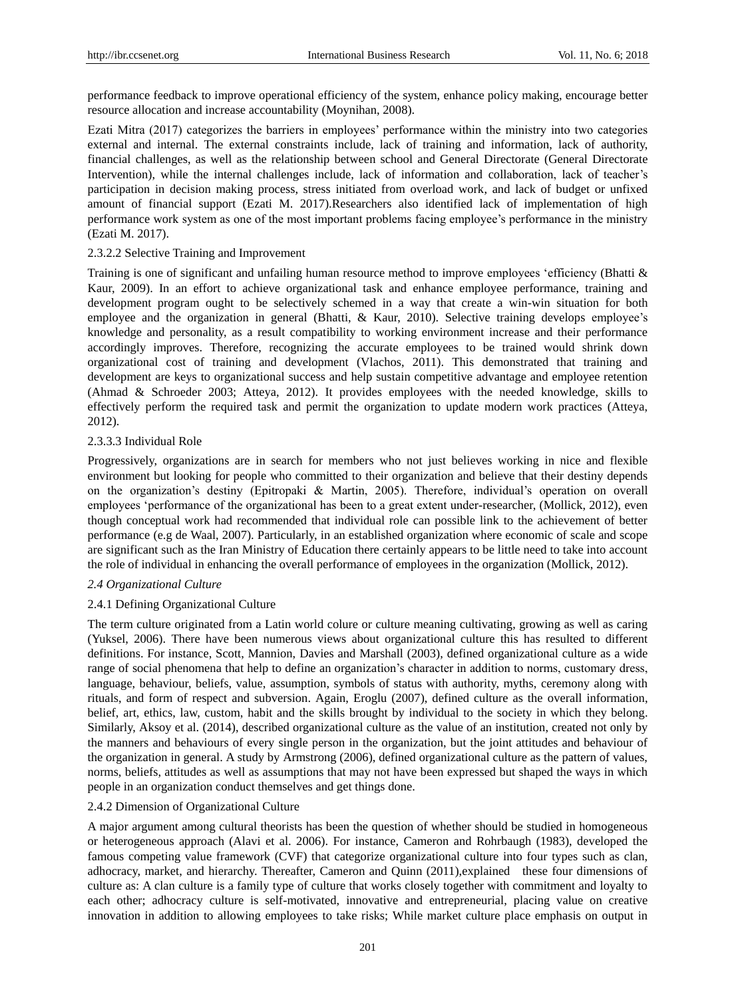performance feedback to improve operational efficiency of the system, enhance policy making, encourage better resource allocation and increase accountability (Moynihan, 2008).

Ezati Mitra (2017) categorizes the barriers in employees' performance within the ministry into two categories external and internal. The external constraints include, lack of training and information, lack of authority, financial challenges, as well as the relationship between school and General Directorate (General Directorate Intervention), while the internal challenges include, lack of information and collaboration, lack of teacher's participation in decision making process, stress initiated from overload work, and lack of budget or unfixed amount of financial support (Ezati M. 2017).Researchers also identified lack of implementation of high performance work system as one of the most important problems facing employee's performance in the ministry (Ezati M. 2017).

## 2.3.2.2 Selective Training and Improvement

Training is one of significant and unfailing human resource method to improve employees 'efficiency (Bhatti & Kaur, 2009). In an effort to achieve organizational task and enhance employee performance, training and development program ought to be selectively schemed in a way that create a win-win situation for both employee and the organization in general (Bhatti, & Kaur, 2010). Selective training develops employee's knowledge and personality, as a result compatibility to working environment increase and their performance accordingly improves. Therefore, recognizing the accurate employees to be trained would shrink down organizational cost of training and development (Vlachos, 2011). This demonstrated that training and development are keys to organizational success and help sustain competitive advantage and employee retention (Ahmad & Schroeder 2003; Atteya, 2012). It provides employees with the needed knowledge, skills to effectively perform the required task and permit the organization to update modern work practices (Atteya, 2012).

## 2.3.3.3 Individual Role

Progressively, organizations are in search for members who not just believes working in nice and flexible environment but looking for people who committed to their organization and believe that their destiny depends on the organization's destiny (Epitropaki & Martin, 2005). Therefore, individual's operation on overall employees 'performance of the organizational has been to a great extent under-researcher, (Mollick, 2012), even though conceptual work had recommended that individual role can possible link to the achievement of better performance (e.g de Waal, 2007). Particularly, in an established organization where economic of scale and scope are significant such as the Iran Ministry of Education there certainly appears to be little need to take into account the role of individual in enhancing the overall performance of employees in the organization (Mollick, 2012).

## *2.4 Organizational Culture*

## 2.4.1 Defining Organizational Culture

The term culture originated from a Latin world colure or culture meaning cultivating, growing as well as caring (Yuksel, 2006). There have been numerous views about organizational culture this has resulted to different definitions. For instance, Scott, Mannion, Davies and Marshall (2003), defined organizational culture as a wide range of social phenomena that help to define an organization's character in addition to norms, customary dress, language, behaviour, beliefs, value, assumption, symbols of status with authority, myths, ceremony along with rituals, and form of respect and subversion. Again, Eroglu (2007), defined culture as the overall information, belief, art, ethics, law, custom, habit and the skills brought by individual to the society in which they belong. Similarly, Aksoy et al. (2014), described organizational culture as the value of an institution, created not only by the manners and behaviours of every single person in the organization, but the joint attitudes and behaviour of the organization in general. A study by Armstrong (2006), defined organizational culture as the pattern of values, norms, beliefs, attitudes as well as assumptions that may not have been expressed but shaped the ways in which people in an organization conduct themselves and get things done.

#### 2.4.2 Dimension of Organizational Culture

A major argument among cultural theorists has been the question of whether should be studied in homogeneous or heterogeneous approach (Alavi et al. 2006). For instance, Cameron and Rohrbaugh (1983), developed the famous competing value framework (CVF) that categorize organizational culture into four types such as clan, adhocracy, market, and hierarchy. Thereafter, Cameron and Quinn (2011),explained these four dimensions of culture as: A clan culture is a family type of culture that works closely together with commitment and loyalty to each other; adhocracy culture is self-motivated, innovative and entrepreneurial, placing value on creative innovation in addition to allowing employees to take risks; While market culture place emphasis on output in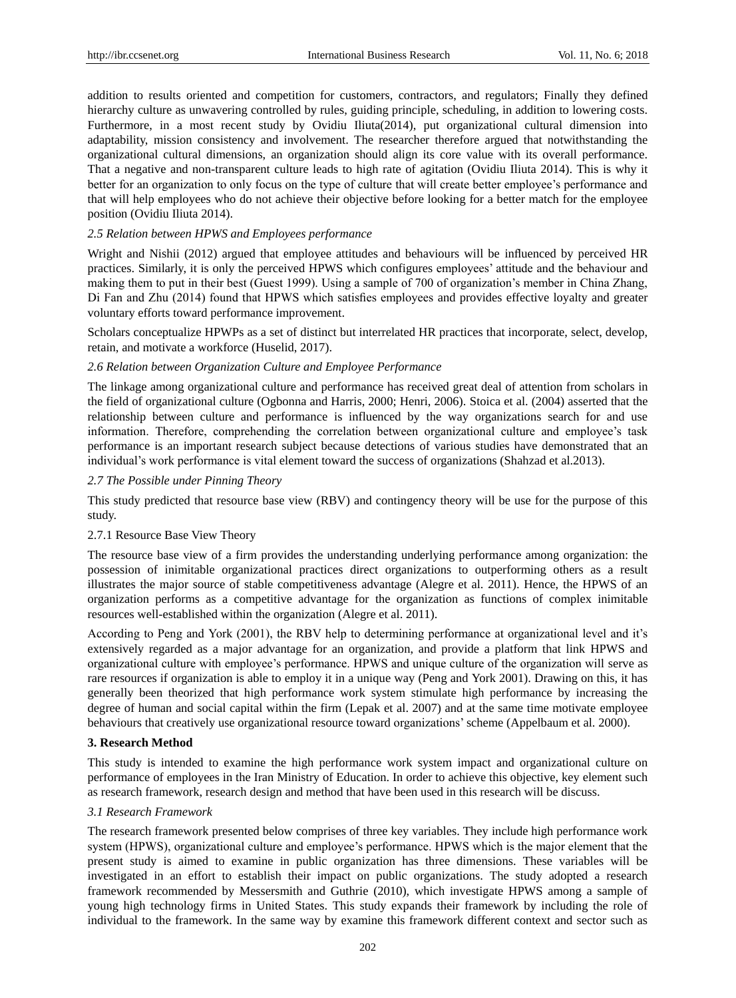addition to results oriented and competition for customers, contractors, and regulators; Finally they defined hierarchy culture as unwavering controlled by rules, guiding principle, scheduling, in addition to lowering costs. Furthermore, in a most recent study by Ovidiu Iliuta(2014), put organizational cultural dimension into adaptability, mission consistency and involvement. The researcher therefore argued that notwithstanding the organizational cultural dimensions, an organization should align its core value with its overall performance. That a negative and non-transparent culture leads to high rate of agitation (Ovidiu Iliuta 2014). This is why it better for an organization to only focus on the type of culture that will create better employee's performance and that will help employees who do not achieve their objective before looking for a better match for the employee position (Ovidiu Iliuta 2014).

#### *2.5 Relation between HPWS and Employees performance*

Wright and Nishii (2012) argued that employee attitudes and behaviours will be influenced by perceived HR practices. Similarly, it is only the perceived HPWS which configures employees' attitude and the behaviour and making them to put in their best (Guest 1999). Using a sample of 700 of organization's member in China Zhang, Di Fan and Zhu (2014) found that HPWS which satisfies employees and provides effective loyalty and greater voluntary efforts toward performance improvement.

Scholars conceptualize HPWPs as a set of distinct but interrelated HR practices that incorporate, select, develop, retain, and motivate a workforce (Huselid, 2017).

#### *2.6 Relation between Organization Culture and Employee Performance*

The linkage among organizational culture and performance has received great deal of attention from scholars in the field of organizational culture (Ogbonna and Harris, 2000; Henri, 2006). Stoica et al. (2004) asserted that the relationship between culture and performance is influenced by the way organizations search for and use information. Therefore, comprehending the correlation between organizational culture and employee's task performance is an important research subject because detections of various studies have demonstrated that an individual's work performance is vital element toward the success of organizations (Shahzad et al.2013).

#### *2.7 The Possible under Pinning Theory*

This study predicted that resource base view (RBV) and contingency theory will be use for the purpose of this study.

#### 2.7.1 Resource Base View Theory

The resource base view of a firm provides the understanding underlying performance among organization: the possession of inimitable organizational practices direct organizations to outperforming others as a result illustrates the major source of stable competitiveness advantage (Alegre et al. 2011). Hence, the HPWS of an organization performs as a competitive advantage for the organization as functions of complex inimitable resources well-established within the organization (Alegre et al. 2011).

According to Peng and York (2001), the RBV help to determining performance at organizational level and it's extensively regarded as a major advantage for an organization, and provide a platform that link HPWS and organizational culture with employee's performance. HPWS and unique culture of the organization will serve as rare resources if organization is able to employ it in a unique way (Peng and York 2001). Drawing on this, it has generally been theorized that high performance work system stimulate high performance by increasing the degree of human and social capital within the firm (Lepak et al. 2007) and at the same time motivate employee behaviours that creatively use organizational resource toward organizations'scheme (Appelbaum et al. 2000).

#### **3. Research Method**

This study is intended to examine the high performance work system impact and organizational culture on performance of employees in the Iran Ministry of Education. In order to achieve this objective, key element such as research framework, research design and method that have been used in this research will be discuss.

## *3.1 Research Framework*

The research framework presented below comprises of three key variables. They include high performance work system (HPWS), organizational culture and employee's performance. HPWS which is the major element that the present study is aimed to examine in public organization has three dimensions. These variables will be investigated in an effort to establish their impact on public organizations. The study adopted a research framework recommended by Messersmith and Guthrie (2010), which investigate HPWS among a sample of young high technology firms in United States. This study expands their framework by including the role of individual to the framework. In the same way by examine this framework different context and sector such as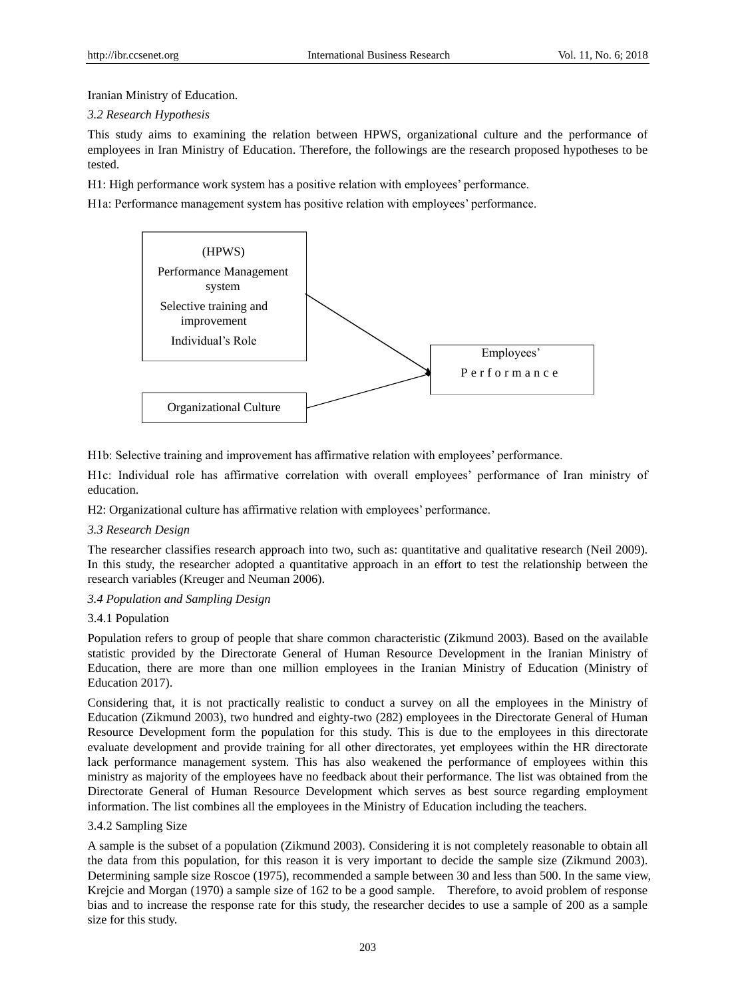Iranian Ministry of Education.

## *3.2 Research Hypothesis*

This study aims to examining the relation between HPWS, organizational culture and the performance of employees in Iran Ministry of Education. Therefore, the followings are the research proposed hypotheses to be tested.

H1: High performance work system has a positive relation with employees' performance.

H1a: Performance management system has positive relation with employees' performance.



H1b: Selective training and improvement has affirmative relation with employees' performance.

H1c: Individual role has affirmative correlation with overall employees' performance of Iran ministry of education.

H2: Organizational culture has affirmative relation with employees' performance.

## *3.3 Research Design*

The researcher classifies research approach into two, such as: quantitative and qualitative research (Neil 2009). In this study, the researcher adopted a quantitative approach in an effort to test the relationship between the research variables (Kreuger and Neuman 2006).

# *3.4 Population and Sampling Design*

# 3.4.1 Population

Population refers to group of people that share common characteristic (Zikmund 2003). Based on the available statistic provided by the Directorate General of Human Resource Development in the Iranian Ministry of Education, there are more than one million employees in the Iranian Ministry of Education (Ministry of Education 2017).

Considering that, it is not practically realistic to conduct a survey on all the employees in the Ministry of Education (Zikmund 2003), two hundred and eighty-two (282) employees in the Directorate General of Human Resource Development form the population for this study. This is due to the employees in this directorate evaluate development and provide training for all other directorates, yet employees within the HR directorate lack performance management system. This has also weakened the performance of employees within this ministry as majority of the employees have no feedback about their performance. The list was obtained from the Directorate General of Human Resource Development which serves as best source regarding employment information. The list combines all the employees in the Ministry of Education including the teachers.

## 3.4.2 Sampling Size

A sample is the subset of a population (Zikmund 2003). Considering it is not completely reasonable to obtain all the data from this population, for this reason it is very important to decide the sample size (Zikmund 2003). Determining sample size Roscoe (1975), recommended a sample between 30 and less than 500. In the same view, Krejcie and Morgan (1970) a sample size of 162 to be a good sample. Therefore, to avoid problem of response bias and to increase the response rate for this study, the researcher decides to use a sample of 200 as a sample size for this study.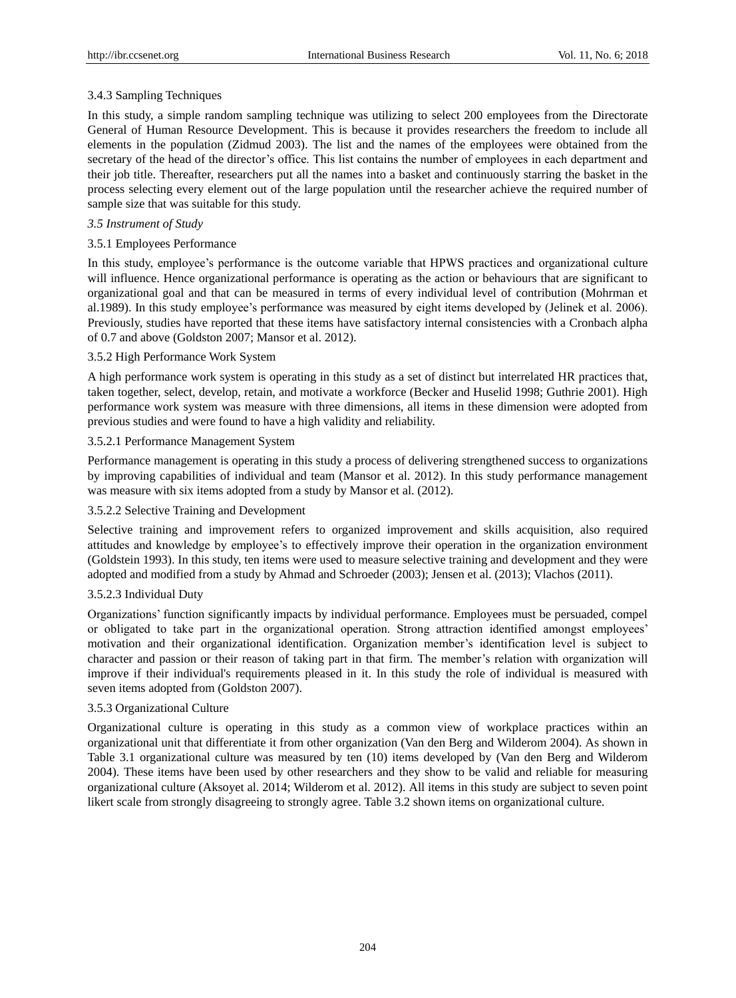# 3.4.3 Sampling Techniques

In this study, a simple random sampling technique was utilizing to select 200 employees from the Directorate General of Human Resource Development. This is because it provides researchers the freedom to include all elements in the population (Zidmud 2003). The list and the names of the employees were obtained from the secretary of the head of the director's office. This list contains the number of employees in each department and their job title. Thereafter, researchers put all the names into a basket and continuously starring the basket in the process selecting every element out of the large population until the researcher achieve the required number of sample size that was suitable for this study.

## *3.5 Instrument of Study*

# 3.5.1 Employees Performance

In this study, employee's performance is the outcome variable that HPWS practices and organizational culture will influence. Hence organizational performance is operating as the action or behaviours that are significant to organizational goal and that can be measured in terms of every individual level of contribution (Mohrman et al.1989). In this study employee's performance was measured by eight items developed by (Jelinek et al. 2006). Previously, studies have reported that these items have satisfactory internal consistencies with a Cronbach alpha of 0.7 and above (Goldston 2007; Mansor et al. 2012).

# 3.5.2 High Performance Work System

A high performance work system is operating in this study as a set of distinct but interrelated HR practices that, taken together, select, develop, retain, and motivate a workforce (Becker and Huselid 1998; Guthrie 2001). High performance work system was measure with three dimensions, all items in these dimension were adopted from previous studies and were found to have a high validity and reliability.

# 3.5.2.1 Performance Management System

Performance management is operating in this study a process of delivering strengthened success to organizations by improving capabilities of individual and team (Mansor et al. 2012). In this study performance management was measure with six items adopted from a study by Mansor et al. (2012).

## 3.5.2.2 Selective Training and Development

Selective training and improvement refers to organized improvement and skills acquisition, also required attitudes and knowledge by employee's to effectively improve their operation in the organization environment (Goldstein 1993). In this study, ten items were used to measure selective training and development and they were adopted and modified from a study by Ahmad and Schroeder (2003); Jensen et al. (2013); Vlachos (2011).

## 3.5.2.3 Individual Duty

Organizations' function significantly impacts by individual performance. Employees must be persuaded, compel or obligated to take part in the organizational operation. Strong attraction identified amongst employees' motivation and their organizational identification. Organization member's identification level is subject to character and passion or their reason of taking part in that firm. The member's relation with organization will improve if their individual's requirements pleased in it. In this study the role of individual is measured with seven items adopted from (Goldston 2007).

## 3.5.3 Organizational Culture

Organizational culture is operating in this study as a common view of workplace practices within an organizational unit that differentiate it from other organization (Van den Berg and Wilderom 2004). As shown in Table 3.1 organizational culture was measured by ten (10) items developed by (Van den Berg and Wilderom 2004). These items have been used by other researchers and they show to be valid and reliable for measuring organizational culture (Aksoyet al. 2014; Wilderom et al. 2012). All items in this study are subject to seven point likert scale from strongly disagreeing to strongly agree. Table 3.2 shown items on organizational culture.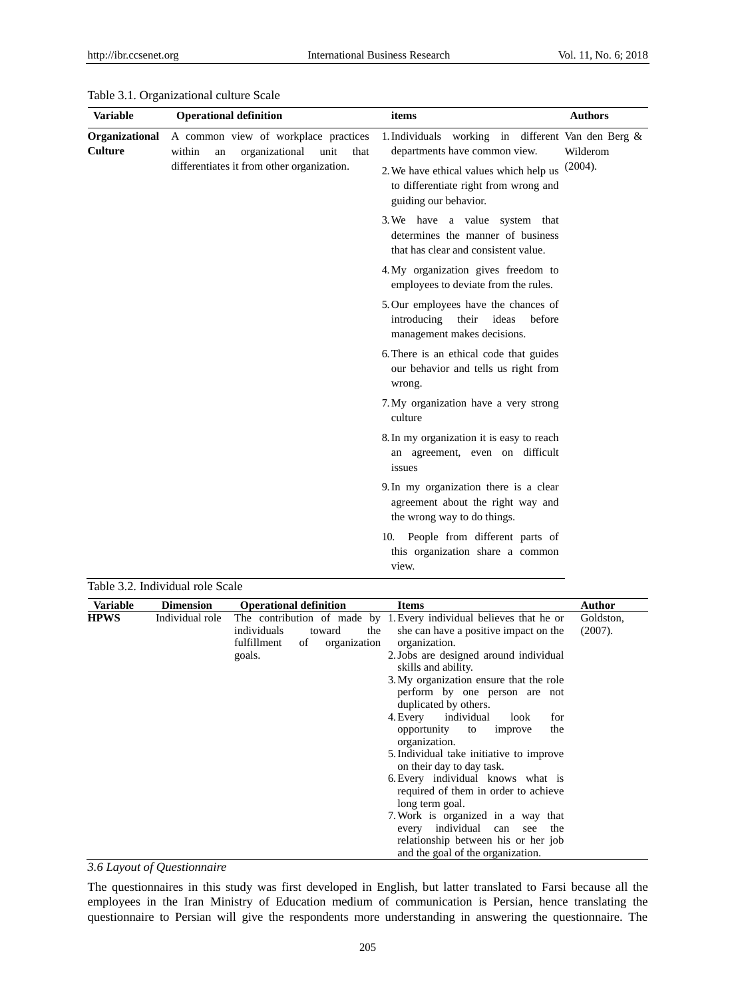| <b>Variable</b>                  | <b>Operational definition</b>                                                                                                        | items                                                                                                                                                                                            | <b>Authors</b>      |
|----------------------------------|--------------------------------------------------------------------------------------------------------------------------------------|--------------------------------------------------------------------------------------------------------------------------------------------------------------------------------------------------|---------------------|
| Organizational<br><b>Culture</b> | A common view of workplace practices<br>organizational<br>within<br>unit<br>an<br>that<br>differentiates it from other organization. | 1. Individuals working in different Van den Berg &<br>departments have common view.<br>2. We have ethical values which help us<br>to differentiate right from wrong and<br>guiding our behavior. | Wilderom<br>(2004). |
|                                  |                                                                                                                                      | 3. We have a value system that<br>determines the manner of business<br>that has clear and consistent value.                                                                                      |                     |
|                                  |                                                                                                                                      | 4. My organization gives freedom to<br>employees to deviate from the rules.                                                                                                                      |                     |
|                                  |                                                                                                                                      | 5. Our employees have the chances of<br>introducing<br>ideas<br>their<br>before<br>management makes decisions.                                                                                   |                     |
|                                  | 6. There is an ethical code that guides<br>our behavior and tells us right from<br>wrong.                                            |                                                                                                                                                                                                  |                     |
|                                  |                                                                                                                                      | 7. My organization have a very strong<br>culture                                                                                                                                                 |                     |
|                                  |                                                                                                                                      | 8. In my organization it is easy to reach<br>an agreement, even on difficult<br>issues                                                                                                           |                     |
|                                  |                                                                                                                                      | 9. In my organization there is a clear<br>agreement about the right way and<br>the wrong way to do things.                                                                                       |                     |
|                                  |                                                                                                                                      | 10. People from different parts of<br>this organization share a common<br>view.                                                                                                                  |                     |

#### Table 3.1. Organizational culture Scale

Table 3.2. Individual role Scale

| Variable    | <b>Dimension</b> | <b>Operational definition</b>                                               | <b>Items</b>                                                                                                                                                                                                                                                                                        | Author               |
|-------------|------------------|-----------------------------------------------------------------------------|-----------------------------------------------------------------------------------------------------------------------------------------------------------------------------------------------------------------------------------------------------------------------------------------------------|----------------------|
| <b>HPWS</b> | Individual role  | individuals<br>toward<br>the<br>fulfillment<br>organization<br>of<br>goals. | The contribution of made by 1. Every individual believes that he or<br>she can have a positive impact on the<br>organization.<br>2. Jobs are designed around individual<br>skills and ability.<br>3. My organization ensure that the role<br>perform by one person are not<br>duplicated by others. | Goldston,<br>(2007). |
|             |                  |                                                                             | 4. Every individual<br>for<br>look<br>opportunity to<br>the<br>improve<br>organization.<br>5. Individual take initiative to improve<br>on their day to day task.<br>6. Every individual knows what is                                                                                               |                      |
|             |                  |                                                                             | required of them in order to achieve<br>long term goal.<br>7. Work is organized in a way that<br>every individual can<br>the<br>see<br>relationship between his or her job<br>and the goal of the organization.                                                                                     |                      |

*3.6 Layout of Questionnaire*

The questionnaires in this study was first developed in English, but latter translated to Farsi because all the employees in the Iran Ministry of Education medium of communication is Persian, hence translating the questionnaire to Persian will give the respondents more understanding in answering the questionnaire. The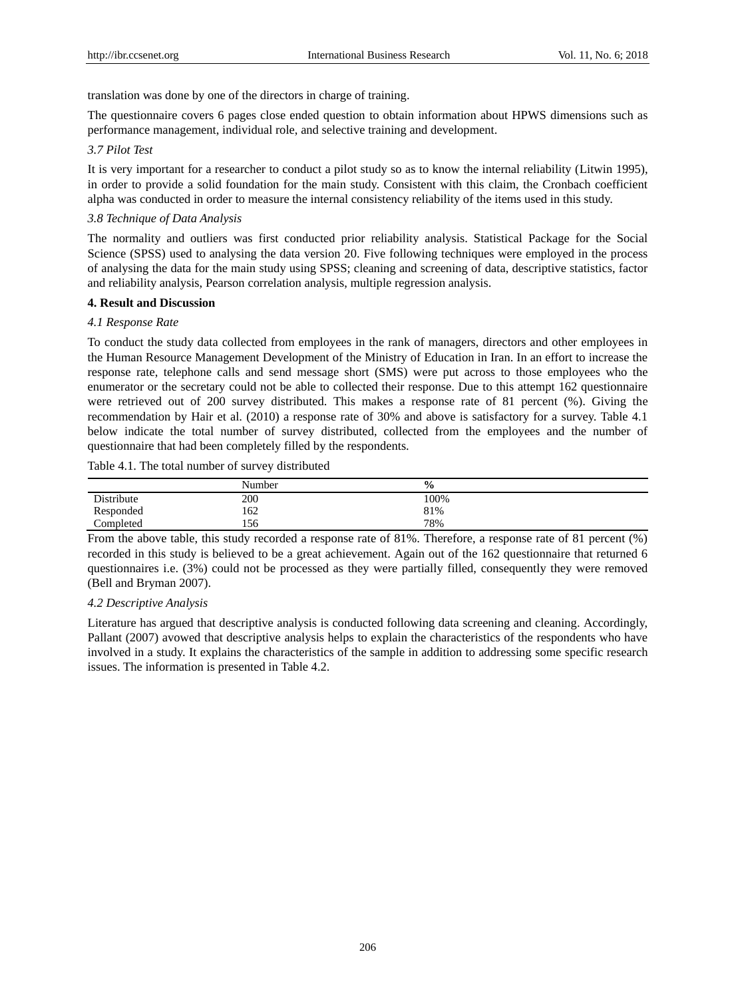translation was done by one of the directors in charge of training.

The questionnaire covers 6 pages close ended question to obtain information about HPWS dimensions such as performance management, individual role, and selective training and development.

#### *3.7 Pilot Test*

It is very important for a researcher to conduct a pilot study so as to know the internal reliability (Litwin 1995), in order to provide a solid foundation for the main study. Consistent with this claim, the Cronbach coefficient alpha was conducted in order to measure the internal consistency reliability of the items used in this study.

## *3.8 Technique of Data Analysis*

The normality and outliers was first conducted prior reliability analysis. Statistical Package for the Social Science (SPSS) used to analysing the data version 20. Five following techniques were employed in the process of analysing the data for the main study using SPSS; cleaning and screening of data, descriptive statistics, factor and reliability analysis, Pearson correlation analysis, multiple regression analysis.

## **4. Result and Discussion**

#### *4.1 Response Rate*

To conduct the study data collected from employees in the rank of managers, directors and other employees in the Human Resource Management Development of the Ministry of Education in Iran. In an effort to increase the response rate, telephone calls and send message short (SMS) were put across to those employees who the enumerator or the secretary could not be able to collected their response. Due to this attempt 162 questionnaire were retrieved out of 200 survey distributed. This makes a response rate of 81 percent (%). Giving the recommendation by Hair et al. (2010) a response rate of 30% and above is satisfactory for a survey. Table 4.1 below indicate the total number of survey distributed, collected from the employees and the number of questionnaire that had been completely filled by the respondents.

Table 4.1. The total number of survey distributed

|            | Number | $\frac{0}{0}$ |  |
|------------|--------|---------------|--|
| Distribute | 200    | 100%          |  |
| Responded  | 162    | 81%           |  |
| Completed  | 156    | 78%           |  |

From the above table, this study recorded a response rate of 81%. Therefore, a response rate of 81 percent (%) recorded in this study is believed to be a great achievement. Again out of the 162 questionnaire that returned 6 questionnaires i.e. (3%) could not be processed as they were partially filled, consequently they were removed (Bell and Bryman 2007).

#### *4.2 Descriptive Analysis*

Literature has argued that descriptive analysis is conducted following data screening and cleaning. Accordingly, Pallant (2007) avowed that descriptive analysis helps to explain the characteristics of the respondents who have involved in a study. It explains the characteristics of the sample in addition to addressing some specific research issues. The information is presented in Table 4.2.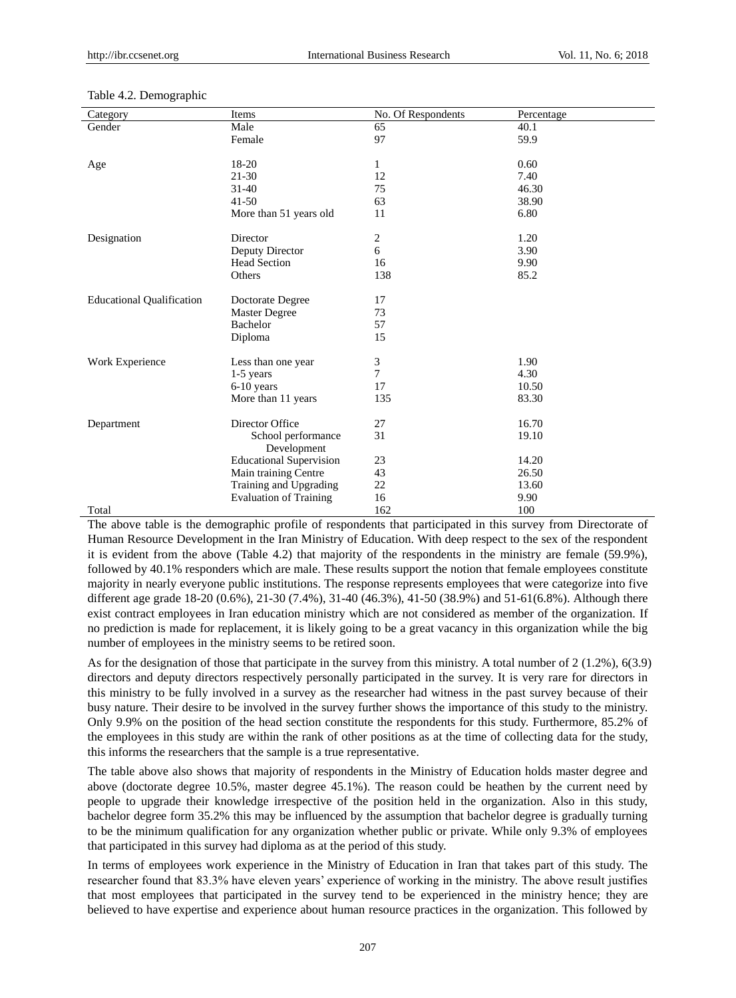| Category                         | Items                          | No. Of Respondents      | Percentage |
|----------------------------------|--------------------------------|-------------------------|------------|
| Gender                           | Male                           | 65                      | 40.1       |
|                                  | Female                         | 97                      | 59.9       |
|                                  |                                |                         |            |
| Age                              | 18-20                          | 1                       | 0.60       |
|                                  | $21 - 30$                      | 12                      | 7.40       |
|                                  | $31 - 40$                      | 75                      | 46.30      |
|                                  | $41 - 50$                      | 63                      | 38.90      |
|                                  | More than 51 years old         | 11                      | 6.80       |
|                                  |                                |                         |            |
| Designation                      | Director                       | $\overline{\mathbf{c}}$ | 1.20       |
|                                  | Deputy Director                | 6                       | 3.90       |
|                                  | <b>Head Section</b>            | 16                      | 9.90       |
|                                  | Others                         | 138                     | 85.2       |
| <b>Educational Qualification</b> | Doctorate Degree               | 17                      |            |
|                                  | <b>Master Degree</b>           | 73                      |            |
|                                  | Bachelor                       | 57                      |            |
|                                  | Diploma                        | 15                      |            |
|                                  |                                |                         |            |
| Work Experience                  | Less than one year             | 3                       | 1.90       |
|                                  | 1-5 years                      | 7                       | 4.30       |
|                                  | $6-10$ years                   | 17                      | 10.50      |
|                                  | More than 11 years             | 135                     | 83.30      |
| Department                       | Director Office                | 27                      | 16.70      |
|                                  | School performance             | 31                      | 19.10      |
|                                  | Development                    |                         |            |
|                                  | <b>Educational Supervision</b> | 23                      | 14.20      |
|                                  | Main training Centre           | 43                      | 26.50      |
|                                  | Training and Upgrading         | 22                      | 13.60      |
|                                  | <b>Evaluation of Training</b>  | 16                      | 9.90       |
| Total                            |                                | 162                     | 100        |

#### Table 4.2. Demographic

The above table is the demographic profile of respondents that participated in this survey from Directorate of Human Resource Development in the Iran Ministry of Education. With deep respect to the sex of the respondent it is evident from the above (Table 4.2) that majority of the respondents in the ministry are female (59.9%), followed by 40.1% responders which are male. These results support the notion that female employees constitute majority in nearly everyone public institutions. The response represents employees that were categorize into five different age grade 18-20 (0.6%), 21-30 (7.4%), 31-40 (46.3%), 41-50 (38.9%) and 51-61(6.8%). Although there exist contract employees in Iran education ministry which are not considered as member of the organization. If no prediction is made for replacement, it is likely going to be a great vacancy in this organization while the big number of employees in the ministry seems to be retired soon.

As for the designation of those that participate in the survey from this ministry. A total number of 2 (1.2%), 6(3.9) directors and deputy directors respectively personally participated in the survey. It is very rare for directors in this ministry to be fully involved in a survey as the researcher had witness in the past survey because of their busy nature. Their desire to be involved in the survey further shows the importance of this study to the ministry. Only 9.9% on the position of the head section constitute the respondents for this study. Furthermore, 85.2% of the employees in this study are within the rank of other positions as at the time of collecting data for the study, this informs the researchers that the sample is a true representative.

The table above also shows that majority of respondents in the Ministry of Education holds master degree and above (doctorate degree 10.5%, master degree 45.1%). The reason could be heathen by the current need by people to upgrade their knowledge irrespective of the position held in the organization. Also in this study, bachelor degree form 35.2% this may be influenced by the assumption that bachelor degree is gradually turning to be the minimum qualification for any organization whether public or private. While only 9.3% of employees that participated in this survey had diploma as at the period of this study.

In terms of employees work experience in the Ministry of Education in Iran that takes part of this study. The researcher found that 83.3% have eleven years' experience of working in the ministry. The above result justifies that most employees that participated in the survey tend to be experienced in the ministry hence; they are believed to have expertise and experience about human resource practices in the organization. This followed by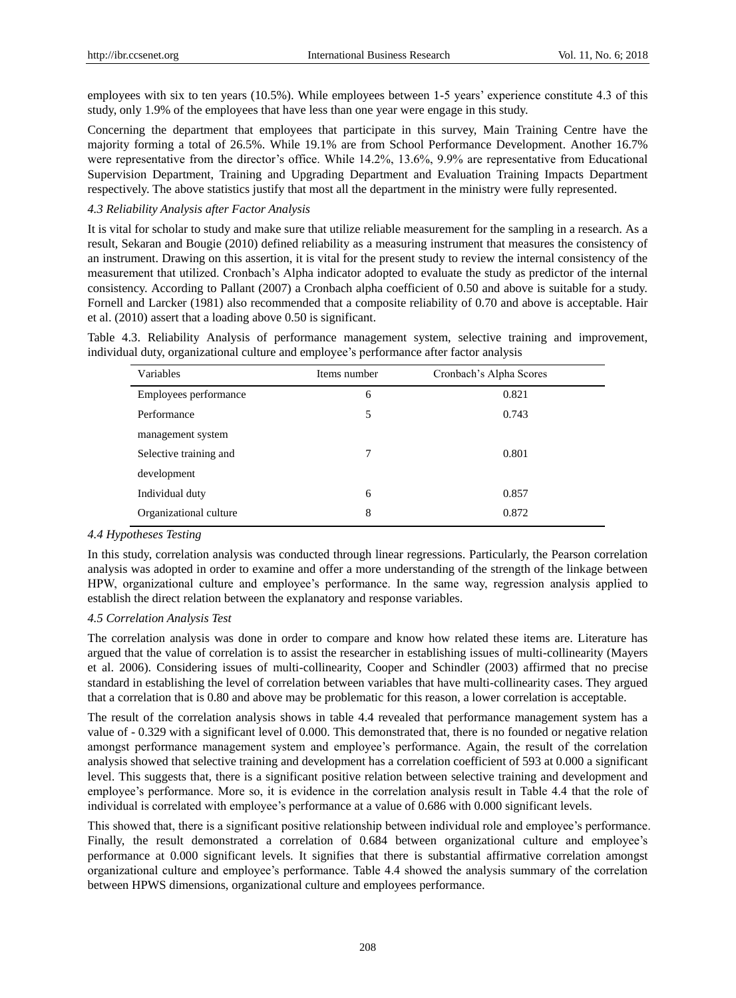employees with six to ten years (10.5%). While employees between 1-5 years' experience constitute 4.3 of this study, only 1.9% of the employees that have less than one year were engage in this study.

Concerning the department that employees that participate in this survey, Main Training Centre have the majority forming a total of 26.5%. While 19.1% are from School Performance Development. Another 16.7% were representative from the director's office. While 14.2%, 13.6%, 9.9% are representative from Educational Supervision Department, Training and Upgrading Department and Evaluation Training Impacts Department respectively. The above statistics justify that most all the department in the ministry were fully represented.

### *4.3 Reliability Analysis after Factor Analysis*

It is vital for scholar to study and make sure that utilize reliable measurement for the sampling in a research. As a result, Sekaran and Bougie (2010) defined reliability as a measuring instrument that measures the consistency of an instrument. Drawing on this assertion, it is vital for the present study to review the internal consistency of the measurement that utilized. Cronbach's Alpha indicator adopted to evaluate the study as predictor of the internal consistency. According to Pallant (2007) a Cronbach alpha coefficient of 0.50 and above is suitable for a study. Fornell and Larcker (1981) also recommended that a composite reliability of 0.70 and above is acceptable. Hair et al. (2010) assert that a loading above 0.50 is significant.

Table 4.3. Reliability Analysis of performance management system, selective training and improvement, individual duty, organizational culture and employee's performance after factor analysis

| Variables              | Items number | Cronbach's Alpha Scores |
|------------------------|--------------|-------------------------|
| Employees performance  | 6            | 0.821                   |
| Performance            | 5            | 0.743                   |
| management system      |              |                         |
| Selective training and | 7            | 0.801                   |
| development            |              |                         |
| Individual duty        | 6            | 0.857                   |
| Organizational culture | 8            | 0.872                   |

#### *4.4 Hypotheses Testing*

In this study, correlation analysis was conducted through linear regressions. Particularly, the Pearson correlation analysis was adopted in order to examine and offer a more understanding of the strength of the linkage between HPW, organizational culture and employee's performance. In the same way, regression analysis applied to establish the direct relation between the explanatory and response variables.

#### *4.5 Correlation Analysis Test*

The correlation analysis was done in order to compare and know how related these items are. Literature has argued that the value of correlation is to assist the researcher in establishing issues of multi-collinearity (Mayers et al. 2006). Considering issues of multi-collinearity, Cooper and Schindler (2003) affirmed that no precise standard in establishing the level of correlation between variables that have multi-collinearity cases. They argued that a correlation that is 0.80 and above may be problematic for this reason, a lower correlation is acceptable.

The result of the correlation analysis shows in table 4.4 revealed that performance management system has a value of - 0.329 with a significant level of 0.000. This demonstrated that, there is no founded or negative relation amongst performance management system and employee's performance. Again, the result of the correlation analysis showed that selective training and development has a correlation coefficient of 593 at 0.000 a significant level. This suggests that, there is a significant positive relation between selective training and development and employee's performance. More so, it is evidence in the correlation analysis result in Table 4.4 that the role of individual is correlated with employee's performance at a value of 0.686 with 0.000 significant levels.

This showed that, there is a significant positive relationship between individual role and employee's performance. Finally, the result demonstrated a correlation of 0.684 between organizational culture and employee's performance at 0.000 significant levels. It signifies that there is substantial affirmative correlation amongst organizational culture and employee's performance. Table 4.4 showed the analysis summary of the correlation between HPWS dimensions, organizational culture and employees performance.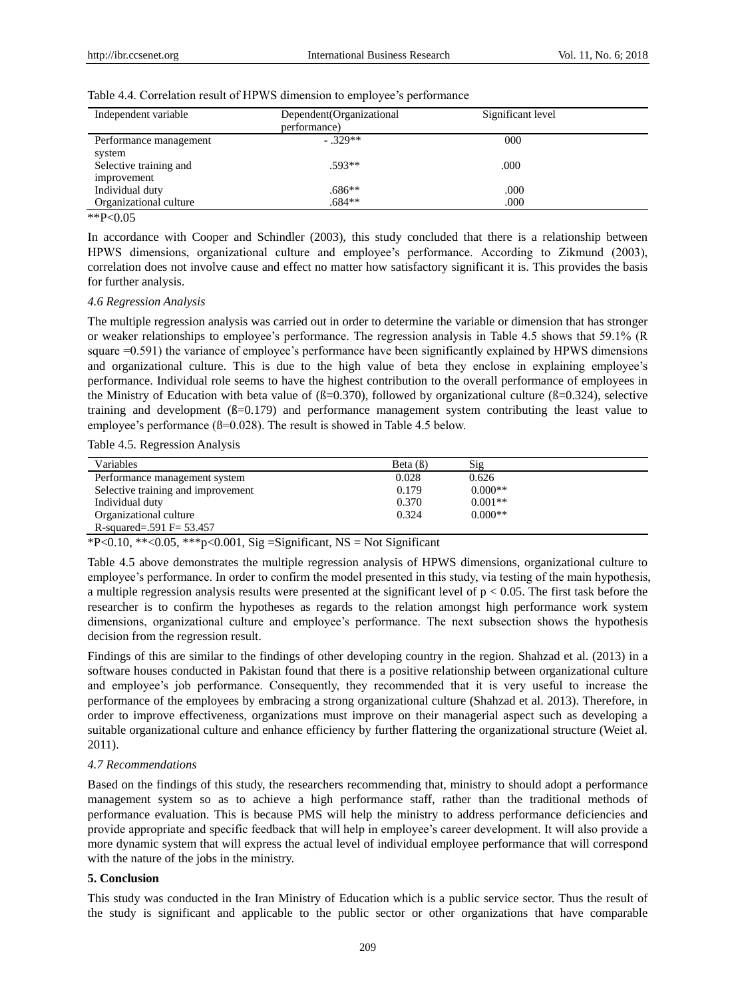| Independent variable                  | Dependent (Organizational<br>performance) | Significant level |  |
|---------------------------------------|-------------------------------------------|-------------------|--|
| Performance management<br>system      | $-329**$                                  | 000               |  |
| Selective training and<br>improvement | $.593**$                                  | .000              |  |
| Individual duty                       | .686**                                    | .000              |  |
| Organizational culture                | .684**                                    | .000              |  |

#### Table 4.4. Correlation result of HPWS dimension to employee's performance

 $*$  $P< 0.05$ 

In accordance with Cooper and Schindler (2003), this study concluded that there is a relationship between HPWS dimensions, organizational culture and employee's performance. According to Zikmund (2003), correlation does not involve cause and effect no matter how satisfactory significant it is. This provides the basis for further analysis.

#### *4.6 Regression Analysis*

The multiple regression analysis was carried out in order to determine the variable or dimension that has stronger or weaker relationships to employee's performance. The regression analysis in Table 4.5 shows that 59.1% (R square =0.591) the variance of employee's performance have been significantly explained by HPWS dimensions and organizational culture. This is due to the high value of beta they enclose in explaining employee's performance. Individual role seems to have the highest contribution to the overall performance of employees in the Ministry of Education with beta value of ( $\beta$ =0.370), followed by organizational culture ( $\beta$ =0.324), selective training and development  $(B=0.179)$  and performance management system contributing the least value to employee's performance ( $\beta$ =0.028). The result is showed in Table 4.5 below.

Table 4.5. Regression Analysis

| Variables                          | Beta $( \beta )$ | Sig       |
|------------------------------------|------------------|-----------|
| Performance management system      | 0.028            | 0.626     |
| Selective training and improvement | 0.179            | $0.000**$ |
| Individual duty                    | 0.370            | $0.001**$ |
| Organizational culture             | 0.324            | $0.000**$ |
| R-squared=.591 $F = 53.457$        |                  |           |

\*P<0.10, \*\*<0.05, \*\*\* p<0.001, Sig = Significant, NS = Not Significant

Table 4.5 above demonstrates the multiple regression analysis of HPWS dimensions, organizational culture to employee's performance. In order to confirm the model presented in this study, via testing of the main hypothesis, a multiple regression analysis results were presented at the significant level of  $p < 0.05$ . The first task before the researcher is to confirm the hypotheses as regards to the relation amongst high performance work system dimensions, organizational culture and employee's performance. The next subsection shows the hypothesis decision from the regression result.

Findings of this are similar to the findings of other developing country in the region. Shahzad et al. (2013) in a software houses conducted in Pakistan found that there is a positive relationship between organizational culture and employee's job performance. Consequently, they recommended that it is very useful to increase the performance of the employees by embracing a strong organizational culture (Shahzad et al. 2013). Therefore, in order to improve effectiveness, organizations must improve on their managerial aspect such as developing a suitable organizational culture and enhance efficiency by further flattering the organizational structure (Weiet al. 2011).

#### *4.7 Recommendations*

Based on the findings of this study, the researchers recommending that, ministry to should adopt a performance management system so as to achieve a high performance staff, rather than the traditional methods of performance evaluation. This is because PMS will help the ministry to address performance deficiencies and provide appropriate and specific feedback that will help in employee's career development. It will also provide a more dynamic system that will express the actual level of individual employee performance that will correspond with the nature of the jobs in the ministry.

### **5. Conclusion**

This study was conducted in the Iran Ministry of Education which is a public service sector. Thus the result of the study is significant and applicable to the public sector or other organizations that have comparable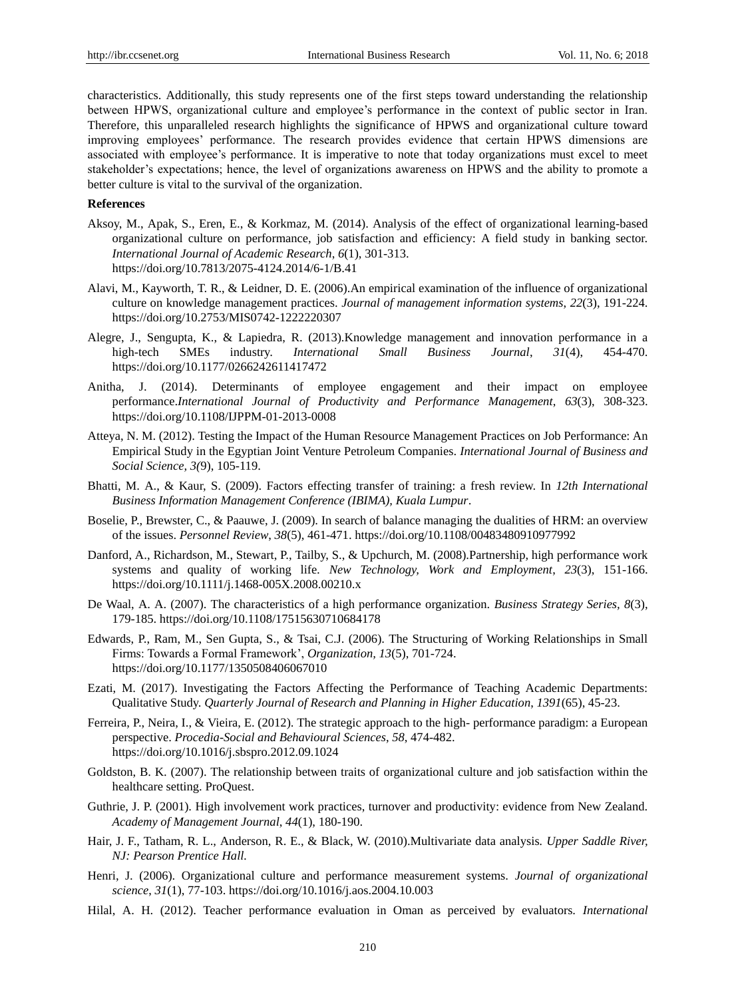characteristics. Additionally, this study represents one of the first steps toward understanding the relationship between HPWS, organizational culture and employee's performance in the context of public sector in Iran. Therefore, this unparalleled research highlights the significance of HPWS and organizational culture toward improving employees' performance. The research provides evidence that certain HPWS dimensions are associated with employee's performance. It is imperative to note that today organizations must excel to meet stakeholder's expectations; hence, the level of organizations awareness on HPWS and the ability to promote a better culture is vital to the survival of the organization.

#### **References**

- Aksoy, M., Apak, S., Eren, E., & Korkmaz, M. (2014). Analysis of the effect of organizational learning-based organizational culture on performance, job satisfaction and efficiency: A field study in banking sector. *International Journal of Academic Research*, *6*(1), 301-313. https://doi.org/10.7813/2075-4124.2014/6-1/B.41
- Alavi, M., Kayworth, T. R., & Leidner, D. E. (2006).An empirical examination of the influence of organizational culture on knowledge management practices. *Journal of management information systems*, *22*(3), 191-224. https://doi.org/10.2753/MIS0742-1222220307
- Alegre, J., Sengupta, K., & Lapiedra, R. (2013).Knowledge management and innovation performance in a high-tech SMEs industry. *International Small Business Journal*, *31*(4), 454-470. https://doi.org/10.1177/0266242611417472
- Anitha, J. (2014). Determinants of employee engagement and their impact on employee performance.*International Journal of Productivity and Performance Management*, *63*(3), 308-323. https://doi.org/10.1108/IJPPM-01-2013-0008
- Atteya, N. M. (2012). Testing the Impact of the Human Resource Management Practices on Job Performance: An Empirical Study in the Egyptian Joint Venture Petroleum Companies. *International Journal of Business and Social Science, 3(*9), 105-119.
- Bhatti, M. A., & Kaur, S. (2009). Factors effecting transfer of training: a fresh review. In *12th International Business Information Management Conference (IBIMA), Kuala Lumpur*.
- Boselie, P., Brewster, C., & Paauwe, J. (2009). In search of balance managing the dualities of HRM: an overview of the issues. *Personnel Review*, *38*(5), 461-471. https://doi.org/10.1108/00483480910977992
- Danford, A., Richardson, M., Stewart, P., Tailby, S., & Upchurch, M. (2008).Partnership, high performance work systems and quality of working life*. New Technology, Work and Employment*, *23*(3), 151-166. https://doi.org/10.1111/j.1468-005X.2008.00210.x
- De Waal, A. A. (2007). The characteristics of a high performance organization. *Business Strategy Series, 8*(3), 179-185. https://doi.org/10.1108/17515630710684178
- Edwards, P., Ram, M., Sen Gupta, S., & Tsai, C.J. (2006). The Structuring of Working Relationships in Small Firms: Towards a Formal Framework', *Organization, 13*(5), 701-724. https://doi.org/10.1177/1350508406067010
- Ezati, M. (2017). Investigating the Factors Affecting the Performance of Teaching Academic Departments: Qualitative Study. *Quarterly Journal of Research and Planning in Higher Education*, *1391*(65), 45-23.
- Ferreira, P., Neira, I., & Vieira, E. (2012). The strategic approach to the high- performance paradigm: a European perspective. *Procedia-Social and Behavioural Sciences*, *58*, 474-482. https://doi.org/10.1016/j.sbspro.2012.09.1024
- Goldston, B. K. (2007). The relationship between traits of organizational culture and job satisfaction within the healthcare setting. ProQuest.
- Guthrie, J. P. (2001). High involvement work practices, turnover and productivity: evidence from New Zealand. *Academy of Management Journal*, *44*(1), 180-190.
- Hair, J. F., Tatham, R. L., Anderson, R. E., & Black, W. (2010).Multivariate data analysis*. Upper Saddle River, NJ: Pearson Prentice Hall.*
- Henri, J. (2006). Organizational culture and performance measurement systems. *Journal of organizational science*, *31*(1), 77-103. https://doi.org/10.1016/j.aos.2004.10.003
- Hilal, A. H. (2012). Teacher performance evaluation in Oman as perceived by evaluators. *International*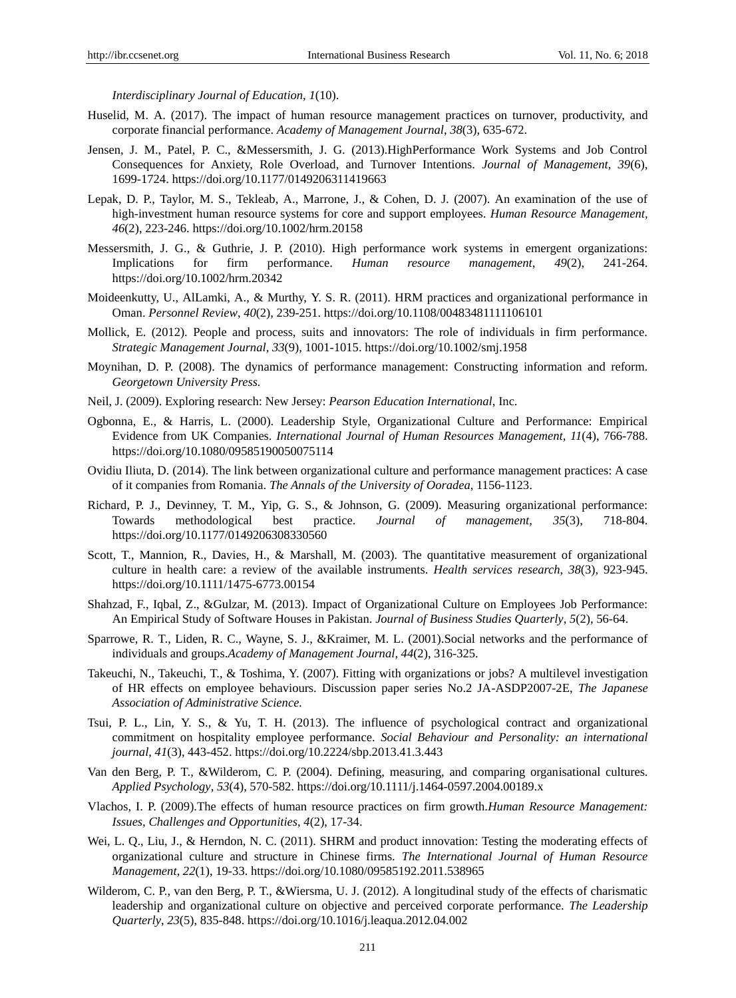*Interdisciplinary Journal of Education, 1*(10).

- Huselid, M. A. (2017). The impact of human resource management practices on turnover, productivity, and corporate financial performance. *Academy of Management Journal*, *38*(3), 635-672.
- Jensen, J. M., Patel, P. C., &Messersmith, J. G. (2013).HighPerformance Work Systems and Job Control Consequences for Anxiety, Role Overload, and Turnover Intentions. *Journal of Management*, *39*(6), 1699-1724. https://doi.org/10.1177/0149206311419663
- Lepak, D. P., Taylor, M. S., Tekleab, A., Marrone, J., & Cohen, D. J. (2007). An examination of the use of high-investment human resource systems for core and support employees. *Human Resource Management, 46*(2), 223-246. https://doi.org/10.1002/hrm.20158
- Messersmith, J. G., & Guthrie, J. P. (2010). High performance work systems in emergent organizations: Implications for firm performance. *Human resource management*, *49*(2), 241-264. https://doi.org/10.1002/hrm.20342
- Moideenkutty, U., AlLamki, A., & Murthy, Y. S. R. (2011). HRM practices and organizational performance in Oman. *Personnel Review*, *40*(2), 239-251. https://doi.org/10.1108/00483481111106101
- Mollick, E. (2012). People and process, suits and innovators: The role of individuals in firm performance. *Strategic Management Journal*, *33*(9), 1001-1015. https://doi.org/10.1002/smj.1958
- Moynihan, D. P. (2008). The dynamics of performance management: Constructing information and reform. *Georgetown University Press.*
- Neil, J. (2009). Exploring research: New Jersey: *Pearson Education International*, Inc.
- Ogbonna, E., & Harris, L. (2000). Leadership Style, Organizational Culture and Performance: Empirical Evidence from UK Companies. *International Journal of Human Resources Management*, *11*(4), 766-788. https://doi.org/10.1080/09585190050075114
- Ovidiu Iliuta, D. (2014). The link between organizational culture and performance management practices: A case of it companies from Romania. *The Annals of the University of Ooradea*, 1156-1123.
- Richard, P. J., Devinney, T. M., Yip, G. S., & Johnson, G. (2009). Measuring organizational performance: Towards methodological best practice. *Journal of management, 35*(3), 718-804. https://doi.org/10.1177/0149206308330560
- Scott, T., Mannion, R., Davies, H., & Marshall, M. (2003). The quantitative measurement of organizational culture in health care: a review of the available instruments. *Health services research*, *38*(3), 923-945. https://doi.org/10.1111/1475-6773.00154
- Shahzad, F., Iqbal, Z., &Gulzar, M. (2013). Impact of Organizational Culture on Employees Job Performance: An Empirical Study of Software Houses in Pakistan. *Journal of Business Studies Quarterly*, *5*(2), 56-64.
- Sparrowe, R. T., Liden, R. C., Wayne, S. J., &Kraimer, M. L. (2001).Social networks and the performance of individuals and groups.*Academy of Management Journal*, *44*(2), 316-325.
- Takeuchi, N., Takeuchi, T., & Toshima, Y. (2007). Fitting with organizations or jobs? A multilevel investigation of HR effects on employee behaviours. Discussion paper series No.2 JA-ASDP2007-2E, *The Japanese Association of Administrative Science.*
- Tsui, P. L., Lin, Y. S., & Yu, T. H. (2013). The influence of psychological contract and organizational commitment on hospitality employee performance. *Social Behaviour and Personality: an international journal*, *41*(3), 443-452. https://doi.org/10.2224/sbp.2013.41.3.443
- Van den Berg, P. T., &Wilderom, C. P. (2004). Defining, measuring, and comparing organisational cultures. *Applied Psychology*, *53*(4), 570-582. https://doi.org/10.1111/j.1464-0597.2004.00189.x
- Vlachos, I. P. (2009).The effects of human resource practices on firm growth.*Human Resource Management: Issues, Challenges and Opportunities*, *4*(2), 17-34.
- Wei, L. Q., Liu, J., & Herndon, N. C. (2011). SHRM and product innovation: Testing the moderating effects of organizational culture and structure in Chinese firms. *The International Journal of Human Resource Management*, *22*(1), 19-33. https://doi.org/10.1080/09585192.2011.538965
- Wilderom, C. P., van den Berg, P. T., &Wiersma, U. J. (2012). A longitudinal study of the effects of charismatic leadership and organizational culture on objective and perceived corporate performance. *The Leadership Quarterly*, *23*(5), 835-848. https://doi.org/10.1016/j.leaqua.2012.04.002